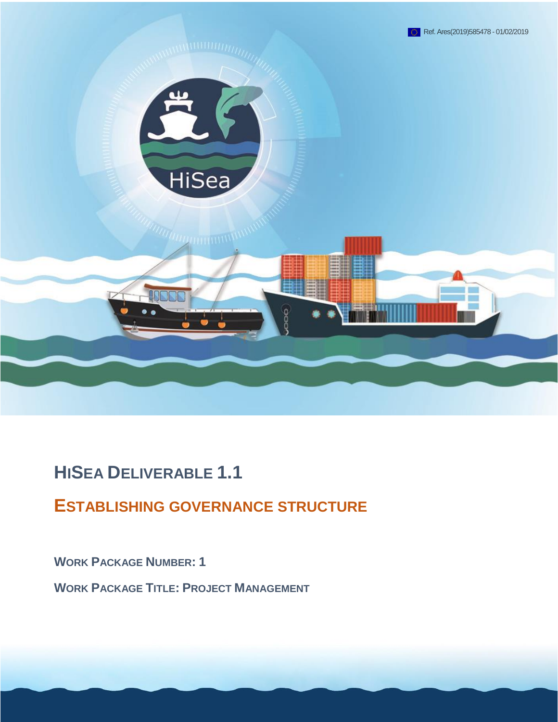

# **HISEA DELIVERABLE 1.1**

## **ESTABLISHING GOVERNANCE STRUCTURE**

**WORK PACKAGE NUMBER: 1**

**WORK PACKAGE TITLE: PROJECT MANAGEMENT**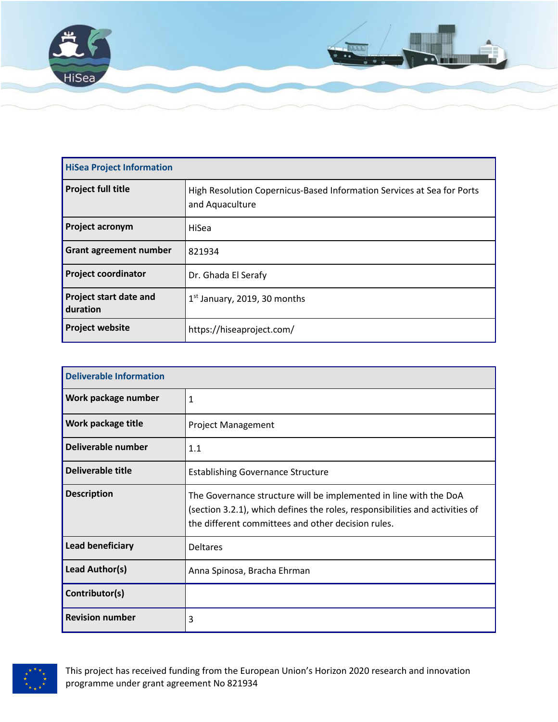

| <b>HiSea Project Information</b>   |                                                                                           |  |
|------------------------------------|-------------------------------------------------------------------------------------------|--|
| <b>Project full title</b>          | High Resolution Copernicus-Based Information Services at Sea for Ports<br>and Aquaculture |  |
| Project acronym                    | HiSea                                                                                     |  |
| <b>Grant agreement number</b>      | 821934                                                                                    |  |
| <b>Project coordinator</b>         | Dr. Ghada El Serafy                                                                       |  |
| Project start date and<br>duration | $1st$ January, 2019, 30 months                                                            |  |
| <b>Project website</b>             | https://hiseaproject.com/                                                                 |  |

| <b>Deliverable Information</b> |                                                                                                                                                                                                         |  |
|--------------------------------|---------------------------------------------------------------------------------------------------------------------------------------------------------------------------------------------------------|--|
| Work package number            | $\mathbf{1}$                                                                                                                                                                                            |  |
| Work package title             | <b>Project Management</b>                                                                                                                                                                               |  |
| Deliverable number             | 1.1                                                                                                                                                                                                     |  |
| Deliverable title              | <b>Establishing Governance Structure</b>                                                                                                                                                                |  |
| <b>Description</b>             | The Governance structure will be implemented in line with the DoA<br>(section 3.2.1), which defines the roles, responsibilities and activities of<br>the different committees and other decision rules. |  |
| Lead beneficiary               | <b>Deltares</b>                                                                                                                                                                                         |  |
| Lead Author(s)                 | Anna Spinosa, Bracha Ehrman                                                                                                                                                                             |  |
| Contributor(s)                 |                                                                                                                                                                                                         |  |
| <b>Revision number</b>         | 3                                                                                                                                                                                                       |  |



This project has received funding from the European Union's Horizon 2020 research and innovation programme under grant agreement No 821934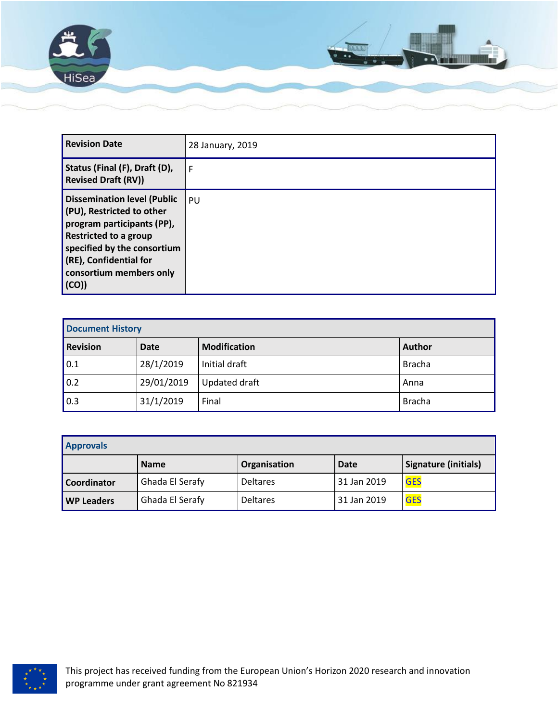

| <b>Revision Date</b>                                                                                                                                                                                                           | 28 January, 2019 |
|--------------------------------------------------------------------------------------------------------------------------------------------------------------------------------------------------------------------------------|------------------|
| Status (Final (F), Draft (D),<br><b>Revised Draft (RV))</b>                                                                                                                                                                    | F                |
| <b>Dissemination level (Public</b><br>(PU), Restricted to other<br>program participants (PP),<br>Restricted to a group<br>specified by the consortium<br>$\sqrt{(RE)}$ , Confidential for<br>consortium members only<br>  (CO) | PU               |

| <b>Document History</b> |             |                     |               |
|-------------------------|-------------|---------------------|---------------|
| <b>Revision</b>         | <b>Date</b> | <b>Modification</b> | <b>Author</b> |
| 0.1                     | 28/1/2019   | Initial draft       | <b>Bracha</b> |
| 0.2                     | 29/01/2019  | Updated draft       | Anna          |
| 0.3                     | 31/1/2019   | Final               | <b>Bracha</b> |

| <b>Approvals</b>   |                 |                 |             |                      |
|--------------------|-----------------|-----------------|-------------|----------------------|
|                    | <b>Name</b>     | Organisation    | <b>Date</b> | Signature (initials) |
| <b>Coordinator</b> | Ghada El Serafy | <b>Deltares</b> | 31 Jan 2019 | <b>GES</b>           |
| <b>WP Leaders</b>  | Ghada El Serafy | <b>Deltares</b> | 31 Jan 2019 | <b>GES</b>           |

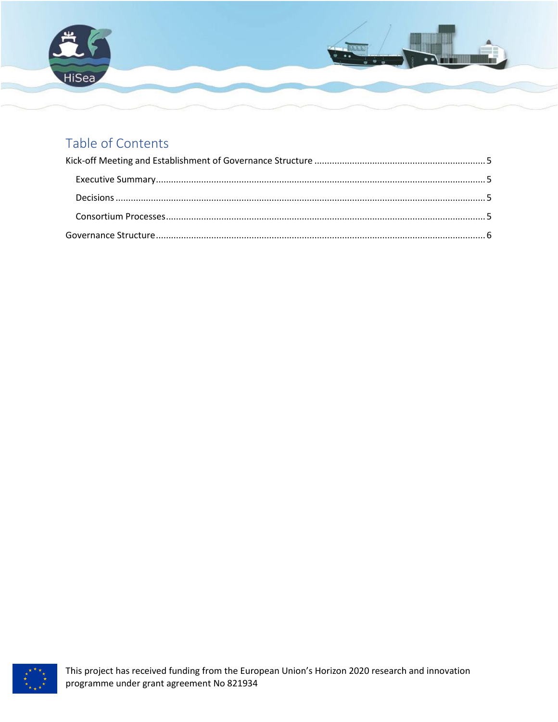

## Table of Contents

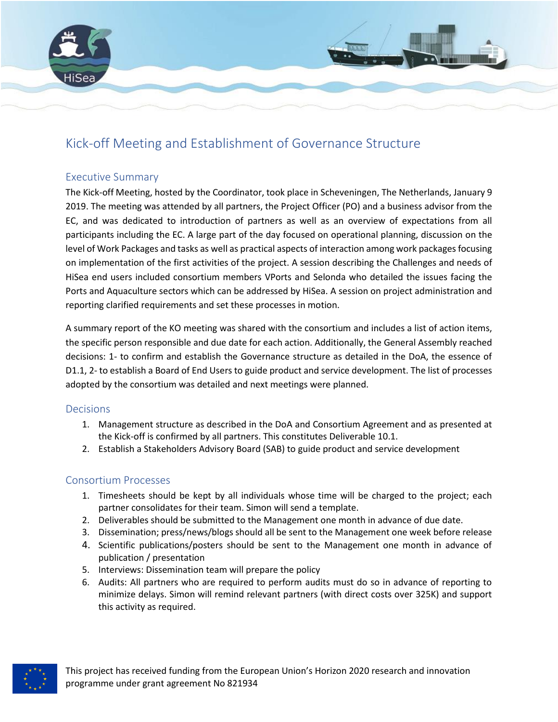

### <span id="page-4-0"></span>Kick-off Meeting and Establishment of Governance Structure

#### <span id="page-4-1"></span>Executive Summary

The Kick-off Meeting, hosted by the Coordinator, took place in Scheveningen, The Netherlands, January 9 2019. The meeting was attended by all partners, the Project Officer (PO) and a business advisor from the EC, and was dedicated to introduction of partners as well as an overview of expectations from all participants including the EC. A large part of the day focused on operational planning, discussion on the level of Work Packages and tasks as well as practical aspects of interaction among work packages focusing on implementation of the first activities of the project. A session describing the Challenges and needs of HiSea end users included consortium members VPorts and Selonda who detailed the issues facing the Ports and Aquaculture sectors which can be addressed by HiSea. A session on project administration and reporting clarified requirements and set these processes in motion.

A summary report of the KO meeting was shared with the consortium and includes a list of action items, the specific person responsible and due date for each action. Additionally, the General Assembly reached decisions: 1- to confirm and establish the Governance structure as detailed in the DoA, the essence of D1.1, 2- to establish a Board of End Users to guide product and service development. The list of processes adopted by the consortium was detailed and next meetings were planned.

#### <span id="page-4-2"></span>Decisions

- 1. Management structure as described in the DoA and Consortium Agreement and as presented at the Kick-off is confirmed by all partners. This constitutes Deliverable 10.1.
- 2. Establish a Stakeholders Advisory Board (SAB) to guide product and service development

#### <span id="page-4-3"></span>Consortium Processes

- 1. Timesheets should be kept by all individuals whose time will be charged to the project; each partner consolidates for their team. Simon will send a template.
- 2. Deliverables should be submitted to the Management one month in advance of due date.
- 3. Dissemination; press/news/blogs should all be sent to the Management one week before release
- 4. Scientific publications/posters should be sent to the Management one month in advance of publication / presentation
- 5. Interviews: Dissemination team will prepare the policy
- 6. Audits: All partners who are required to perform audits must do so in advance of reporting to minimize delays. Simon will remind relevant partners (with direct costs over 325K) and support this activity as required.

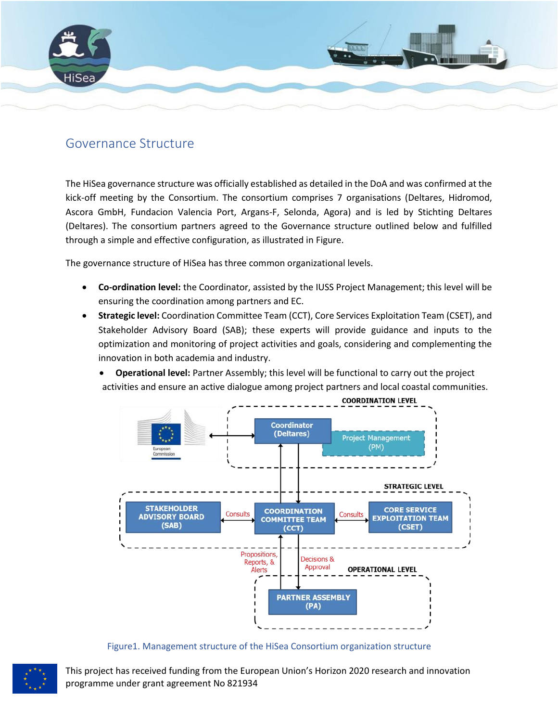

### <span id="page-5-0"></span>Governance Structure

The HiSea governance structure was officially established as detailed in the DoA and was confirmed at the kick-off meeting by the Consortium. The consortium comprises 7 organisations (Deltares, Hidromod, Ascora GmbH, Fundacion Valencia Port, Argans-F, Selonda, Agora) and is led by Stichting Deltares (Deltares). The consortium partners agreed to the Governance structure outlined below and fulfilled through a simple and effective configuration, as illustrated i[n Figure.](#page-5-1)

The governance structure of HiSea has three common organizational levels.

- **Co-ordination level:** the Coordinator, assisted by the IUSS Project Management; this level will be ensuring the coordination among partners and EC.
- **Strategic level:** Coordination Committee Team (CCT), Core Services Exploitation Team (CSET), and Stakeholder Advisory Board (SAB); these experts will provide guidance and inputs to the optimization and monitoring of project activities and goals, considering and complementing the innovation in both academia and industry.
	- **Operational level:** Partner Assembly; this level will be functional to carry out the project activities and ensure an active dialogue among project partners and local coastal communities.



Figure1. Management structure of the HiSea Consortium organization structure



<span id="page-5-1"></span>This project has received funding from the European Union's Horizon 2020 research and innovation programme under grant agreement No 821934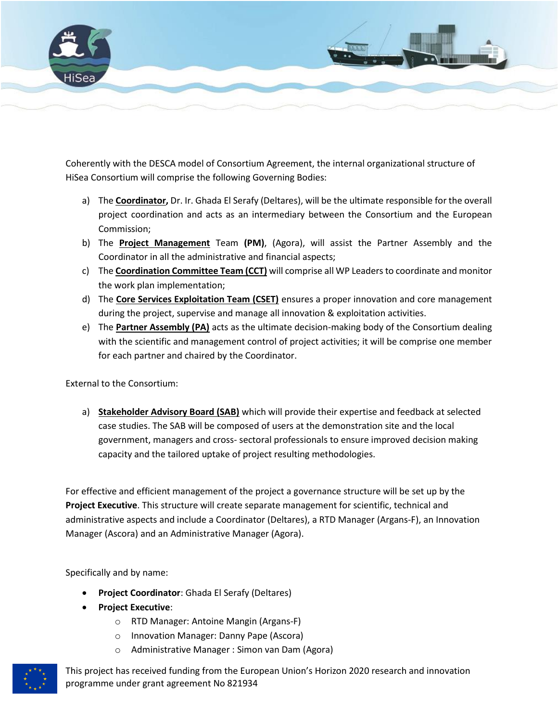

Coherently with the DESCA model of Consortium Agreement, the internal organizational structure of HiSea Consortium will comprise the following Governing Bodies:

- a) The **Coordinator,** Dr. Ir. Ghada El Serafy (Deltares), will be the ultimate responsible for the overall project coordination and acts as an intermediary between the Consortium and the European Commission;
- b) The **Project Management** Team **(PM)**, (Agora), will assist the Partner Assembly and the Coordinator in all the administrative and financial aspects;
- c) The **Coordination Committee Team (CCT)** will comprise all WP Leaders to coordinate and monitor the work plan implementation;
- d) The **Core Services Exploitation Team (CSET)** ensures a proper innovation and core management during the project, supervise and manage all innovation & exploitation activities.
- e) The **Partner Assembly (PA)** acts as the ultimate decision-making body of the Consortium dealing with the scientific and management control of project activities; it will be comprise one member for each partner and chaired by the Coordinator.

External to the Consortium:

a) **Stakeholder Advisory Board (SAB)** which will provide their expertise and feedback at selected case studies. The SAB will be composed of users at the demonstration site and the local government, managers and cross- sectoral professionals to ensure improved decision making capacity and the tailored uptake of project resulting methodologies.

For effective and efficient management of the project a governance structure will be set up by the **Project Executive**. This structure will create separate management for scientific, technical and administrative aspects and include a Coordinator (Deltares), a RTD Manager (Argans-F), an Innovation Manager (Ascora) and an Administrative Manager (Agora).

Specifically and by name:

- **Project Coordinator**: Ghada El Serafy (Deltares)
- **Project Executive**:
	- o RTD Manager: Antoine Mangin (Argans-F)
	- o Innovation Manager: Danny Pape (Ascora)
	- o Administrative Manager : Simon van Dam (Agora)



This project has received funding from the European Union's Horizon 2020 research and innovation programme under grant agreement No 821934